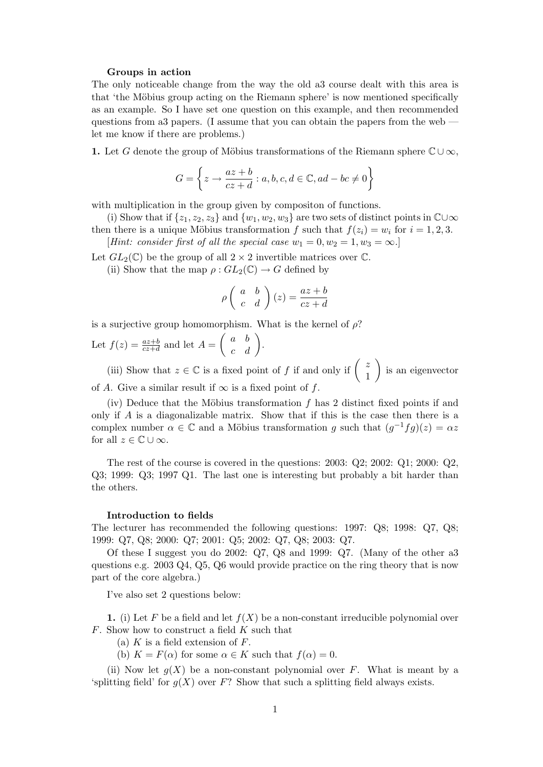## Groups in action

The only noticeable change from the way the old a3 course dealt with this area is that 'the Möbius group acting on the Riemann sphere' is now mentioned specifically as an example. So I have set one question on this example, and then recommended questions from a3 papers. (I assume that you can obtain the papers from the web let me know if there are problems.)

1. Let G denote the group of Möbius transformations of the Riemann sphere  $\mathbb{C}\cup\infty$ ,

$$
G = \left\{ z \to \frac{az+b}{cz+d} : a, b, c, d \in \mathbb{C}, ad - bc \neq 0 \right\}
$$

with multiplication in the group given by compositon of functions.

(i) Show that if  $\{z_1, z_2, z_3\}$  and  $\{w_1, w_2, w_3\}$  are two sets of distinct points in  $\mathbb{C} \cup \infty$ then there is a unique Möbius transformation f such that  $f(z_i) = w_i$  for  $i = 1, 2, 3$ .

[Hint: consider first of all the special case  $w_1 = 0, w_2 = 1, w_3 = \infty$ .]

Let  $GL_2(\mathbb{C})$  be the group of all  $2 \times 2$  invertible matrices over  $\mathbb{C}$ .

(ii) Show that the map  $\rho: GL_2(\mathbb{C}) \to G$  defined by

$$
\rho \left( \begin{array}{cc} a & b \\ c & d \end{array} \right) (z) = \frac{az+b}{cz+d}
$$

is a surjective group homomorphism. What is the kernel of  $\rho$ ?

Let  $f(z) = \frac{az+b}{cz+d}$  and let  $A = \begin{pmatrix} a & b \\ c & d \end{pmatrix}$ .

(iii) Show that  $z \in \mathbb{C}$  is a fixed point of f if and only if  $\begin{pmatrix} z \\ z \end{pmatrix}$ 1 is an eigenvector of A. Give a similar result if  $\infty$  is a fixed point of f.

(iv) Deduce that the Möbius transformation  $f$  has 2 distinct fixed points if and only if  $A$  is a diagonalizable matrix. Show that if this is the case then there is a complex number  $\alpha \in \mathbb{C}$  and a Möbius transformation g such that  $(g^{-1}fg)(z) = \alpha z$ for all  $z \in \mathbb{C} \cup \infty$ .

The rest of the course is covered in the questions: 2003: Q2; 2002: Q1; 2000: Q2, Q3; 1999: Q3; 1997 Q1. The last one is interesting but probably a bit harder than the others.

## Introduction to fields

The lecturer has recommended the following questions: 1997: Q8; 1998: Q7, Q8; 1999: Q7, Q8; 2000: Q7; 2001: Q5; 2002: Q7, Q8; 2003: Q7.

Of these I suggest you do 2002: Q7, Q8 and 1999: Q7. (Many of the other a3 questions e.g. 2003 Q4, Q5, Q6 would provide practice on the ring theory that is now part of the core algebra.)

I've also set 2 questions below:

1. (i) Let F be a field and let  $f(X)$  be a non-constant irreducible polynomial over F. Show how to construct a field K such that

(a)  $K$  is a field extension of  $F$ .

(b)  $K = F(\alpha)$  for some  $\alpha \in K$  such that  $f(\alpha) = 0$ .

(ii) Now let  $q(X)$  be a non-constant polynomial over F. What is meant by a 'splitting field' for  $g(X)$  over F? Show that such a splitting field always exists.